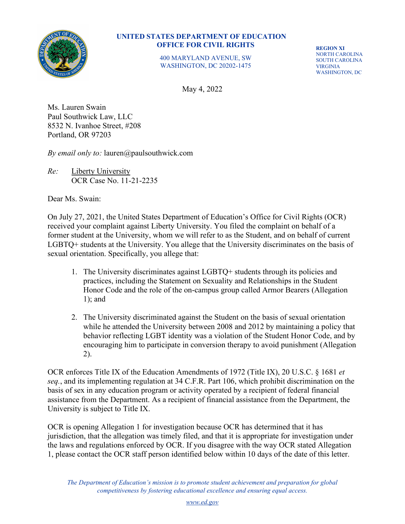

400 MARYLAND AVENUE, SW WASHINGTON, DC 20202-1475

**REGION XI** NORTH CAROLINA SOUTH CAROLINA VIRGINIA WASHINGTON, DC

May 4, 2022

Ms. Lauren Swain Paul Southwick Law, LLC 8532 N. Ivanhoe Street, #208 Portland, OR 97203

*By email only to:* lauren@paulsouthwick.com

*Re:* Liberty University OCR Case No. 11-21-2235

Dear Ms. Swain:

On July 27, 2021, the United States Department of Education's Office for Civil Rights (OCR) received your complaint against Liberty University. You filed the complaint on behalf of a former student at the University, whom we will refer to as the Student, and on behalf of current LGBTQ+ students at the University. You allege that the University discriminates on the basis of sexual orientation. Specifically, you allege that:

- 1. The University discriminates against LGBTQ+ students through its policies and practices, including the Statement on Sexuality and Relationships in the Student Honor Code and the role of the on-campus group called Armor Bearers (Allegation 1); and
- 2. The University discriminated against the Student on the basis of sexual orientation while he attended the University between 2008 and 2012 by maintaining a policy that behavior reflecting LGBT identity was a violation of the Student Honor Code, and by encouraging him to participate in conversion therapy to avoid punishment (Allegation 2).

OCR enforces Title IX of the Education Amendments of 1972 (Title IX), 20 U.S.C. § 1681 *et seq.*, and its implementing regulation at 34 C.F.R. Part 106, which prohibit discrimination on the basis of sex in any education program or activity operated by a recipient of federal financial assistance from the Department. As a recipient of financial assistance from the Department, the University is subject to Title IX.

OCR is opening Allegation 1 for investigation because OCR has determined that it has jurisdiction, that the allegation was timely filed, and that it is appropriate for investigation under the laws and regulations enforced by OCR. If you disagree with the way OCR stated Allegation 1, please contact the OCR staff person identified below within 10 days of the date of this letter.

*The Department of Education's mission is to promote student achievement and preparation for global competitiveness by fostering educational excellence and ensuring equal access.*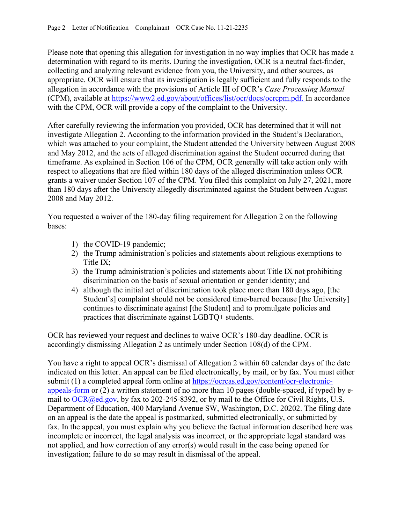Please note that opening this allegation for investigation in no way implies that OCR has made a determination with regard to its merits. During the investigation, OCR is a neutral fact-finder, collecting and analyzing relevant evidence from you, the University, and other sources, as appropriate. OCR will ensure that its investigation is legally sufficient and fully responds to the allegation in accordance with the provisions of Article III of OCR's *Case Processing Manual*  (CPM), available at [https://www2.ed.gov/about/offices/list/ocr/docs/ocrcpm.pdf.](https://www2.ed.gov/about/offices/list/ocr/docs/ocrcpm.pdf) In accordance with the CPM, OCR will provide a copy of the complaint to the University.

After carefully reviewing the information you provided, OCR has determined that it will not investigate Allegation 2. According to the information provided in the Student's Declaration, which was attached to your complaint, the Student attended the University between August 2008 and May 2012, and the acts of alleged discrimination against the Student occurred during that timeframe. As explained in Section 106 of the CPM, OCR generally will take action only with respect to allegations that are filed within 180 days of the alleged discrimination unless OCR grants a waiver under Section 107 of the CPM. You filed this complaint on July 27, 2021, more than 180 days after the University allegedly discriminated against the Student between August 2008 and May 2012.

You requested a waiver of the 180-day filing requirement for Allegation 2 on the following bases:

- 1) the COVID-19 pandemic;
- 2) the Trump administration's policies and statements about religious exemptions to Title IX;
- 3) the Trump administration's policies and statements about Title IX not prohibiting discrimination on the basis of sexual orientation or gender identity; and
- 4) although the initial act of discrimination took place more than 180 days ago, [the Student's] complaint should not be considered time-barred because [the University] continues to discriminate against [the Student] and to promulgate policies and practices that discriminate against LGBTQ+ students.

OCR has reviewed your request and declines to waive OCR's 180-day deadline. OCR is accordingly dismissing Allegation 2 as untimely under Section 108(d) of the CPM.

You have a right to appeal OCR's dismissal of Allegation 2 within 60 calendar days of the date indicated on this letter. An appeal can be filed electronically, by mail, or by fax. You must either submit (1) a completed appeal form online at [https://ocrcas.ed.gov/content/ocr-electronic](https://ocrcas.ed.gov/content/ocr-electronic-appeals-form)[appeals-form](https://ocrcas.ed.gov/content/ocr-electronic-appeals-form) or (2) a written statement of no more than 10 pages (double-spaced, if typed) by email to [OCR@ed.gov,](mailto:OCR@ed.gov) by fax to 202-245-8392, or by mail to the Office for Civil Rights, U.S. Department of Education, 400 Maryland Avenue SW, Washington, D.C. 20202. The filing date on an appeal is the date the appeal is postmarked, submitted electronically, or submitted by fax. In the appeal, you must explain why you believe the factual information described here was incomplete or incorrect, the legal analysis was incorrect, or the appropriate legal standard was not applied, and how correction of any error(s) would result in the case being opened for investigation; failure to do so may result in dismissal of the appeal.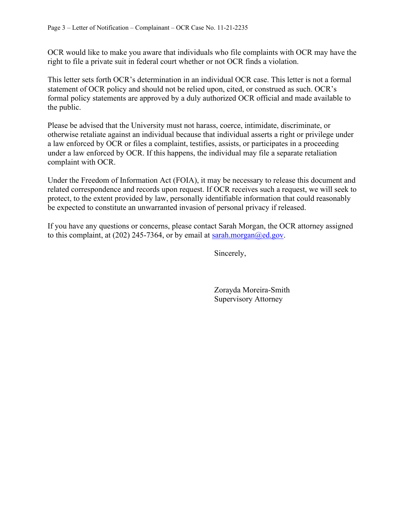OCR would like to make you aware that individuals who file complaints with OCR may have the right to file a private suit in federal court whether or not OCR finds a violation.

This letter sets forth OCR's determination in an individual OCR case. This letter is not a formal statement of OCR policy and should not be relied upon, cited, or construed as such. OCR's formal policy statements are approved by a duly authorized OCR official and made available to the public.

Please be advised that the University must not harass, coerce, intimidate, discriminate, or otherwise retaliate against an individual because that individual asserts a right or privilege under a law enforced by OCR or files a complaint, testifies, assists, or participates in a proceeding under a law enforced by OCR. If this happens, the individual may file a separate retaliation complaint with OCR.

Under the Freedom of Information Act (FOIA), it may be necessary to release this document and related correspondence and records upon request. If OCR receives such a request, we will seek to protect, to the extent provided by law, personally identifiable information that could reasonably be expected to constitute an unwarranted invasion of personal privacy if released.

If you have any questions or concerns, please contact Sarah Morgan, the OCR attorney assigned to this complaint, at (202) 245-7364, or by email at sarah.morgan@ed.gov.

Sincerely,

 Zorayda Moreira-Smith Supervisory Attorney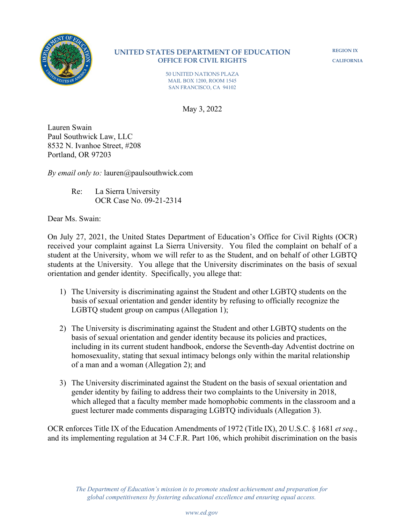

**REGION IX CALIFORNIA**

50 UNITED NATIONS PLAZA MAIL BOX 1200, ROOM 1545 SAN FRANCISCO, CA 94102

May 3, 2022

Lauren Swain Paul Southwick Law, LLC 8532 N. Ivanhoe Street, #208 Portland, OR 97203

*By email only to:* lauren@paulsouthwick.com

Re: La Sierra University OCR Case No. 09-21-2314

Dear Ms. Swain:

On July 27, 2021, the United States Department of Education's Office for Civil Rights (OCR) received your complaint against La Sierra University. You filed the complaint on behalf of a student at the University, whom we will refer to as the Student, and on behalf of other LGBTQ students at the University. You allege that the University discriminates on the basis of sexual orientation and gender identity. Specifically, you allege that:

- 1) The University is discriminating against the Student and other LGBTQ students on the basis of sexual orientation and gender identity by refusing to officially recognize the LGBTQ student group on campus (Allegation 1);
- 2) The University is discriminating against the Student and other LGBTQ students on the basis of sexual orientation and gender identity because its policies and practices, including in its current student handbook, endorse the Seventh-day Adventist doctrine on homosexuality, stating that sexual intimacy belongs only within the marital relationship of a man and a woman (Allegation 2); and
- 3) The University discriminated against the Student on the basis of sexual orientation and gender identity by failing to address their two complaints to the University in 2018, which alleged that a faculty member made homophobic comments in the classroom and a guest lecturer made comments disparaging LGBTQ individuals (Allegation 3).

OCR enforces Title IX of the Education Amendments of 1972 (Title IX), 20 U.S.C. § 1681 *et seq.*, and its implementing regulation at 34 C.F.R. Part 106, which prohibit discrimination on the basis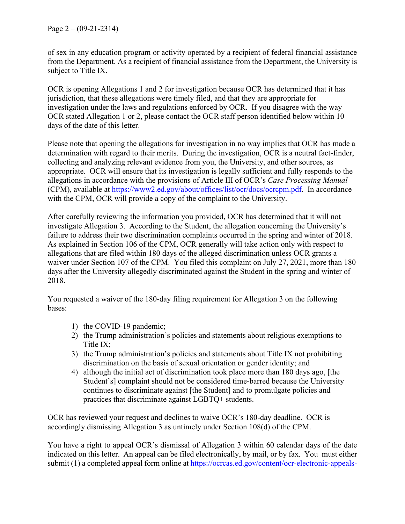of sex in any education program or activity operated by a recipient of federal financial assistance from the Department. As a recipient of financial assistance from the Department, the University is subject to Title IX.

OCR is opening Allegations 1 and 2 for investigation because OCR has determined that it has jurisdiction, that these allegations were timely filed, and that they are appropriate for investigation under the laws and regulations enforced by OCR. If you disagree with the way OCR stated Allegation 1 or 2, please contact the OCR staff person identified below within 10 days of the date of this letter.

Please note that opening the allegations for investigation in no way implies that OCR has made a determination with regard to their merits. During the investigation, OCR is a neutral fact-finder, collecting and analyzing relevant evidence from you, the University, and other sources, as appropriate. OCR will ensure that its investigation is legally sufficient and fully responds to the allegations in accordance with the provisions of Article III of OCR's *Case Processing Manual*  (CPM), available at https://www2.ed.gov/about/offices/list/ocr/docs/ocrcpm.pdf. In accordance with the CPM, OCR will provide a copy of the complaint to the University.

After carefully reviewing the information you provided, OCR has determined that it will not investigate Allegation 3. According to the Student, the allegation concerning the University's failure to address their two discrimination complaints occurred in the spring and winter of 2018. As explained in Section 106 of the CPM, OCR generally will take action only with respect to allegations that are filed within 180 days of the alleged discrimination unless OCR grants a waiver under Section 107 of the CPM. You filed this complaint on July 27, 2021, more than 180 days after the University allegedly discriminated against the Student in the spring and winter of 2018.

You requested a waiver of the 180-day filing requirement for Allegation 3 on the following bases:

- 1) the COVID-19 pandemic;
- 2) the Trump administration's policies and statements about religious exemptions to Title IX;
- 3) the Trump administration's policies and statements about Title IX not prohibiting discrimination on the basis of sexual orientation or gender identity; and
- 4) although the initial act of discrimination took place more than 180 days ago, [the Student's] complaint should not be considered time-barred because the University continues to discriminate against [the Student] and to promulgate policies and practices that discriminate against LGBTQ+ students.

OCR has reviewed your request and declines to waive OCR's 180-day deadline. OCR is accordingly dismissing Allegation 3 as untimely under Section 108(d) of the CPM.

You have a right to appeal OCR's dismissal of Allegation 3 within 60 calendar days of the date indicated on this letter. An appeal can be filed electronically, by mail, or by fax. You must either submit (1) a completed appeal form online at https://ocrcas.ed.gov/content/ocr-electronic-appeals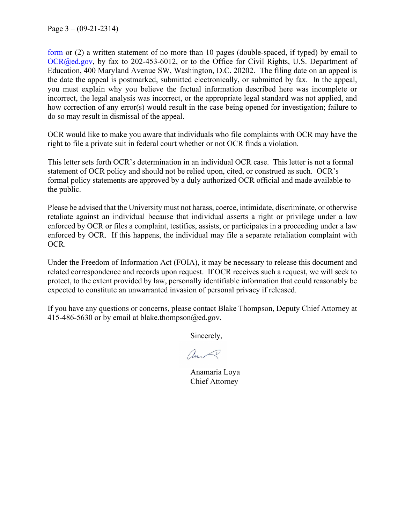Page  $3 - (09-21-2314)$ 

<u>form</u> or  $(2)$  a written statement of no more than 10 pages (double-spaced, if typed) by email to OCR@ed.gov, by fax to 202-453-6012, or to the Office for Civil Rights, U.S. Department of Education, 400 Maryland Avenue SW, Washington, D.C. 20202. The filing date on an appeal is the date the appeal is postmarked, submitted electronically, or submitted by fax. In the appeal, you must explain why you believe the factual information described here was incomplete or incorrect, the legal analysis was incorrect, or the appropriate legal standard was not applied, and how correction of any error(s) would result in the case being opened for investigation; failure to do so may result in dismissal of the appeal.

OCR would like to make you aware that individuals who file complaints with OCR may have the right to file a private suit in federal court whether or not OCR finds a violation.

This letter sets forth OCR's determination in an individual OCR case. This letter is not a formal statement of OCR policy and should not be relied upon, cited, or construed as such. OCR's formal policy statements are approved by a duly authorized OCR official and made available to the public.

Please be advised that the University must not harass, coerce, intimidate, discriminate, or otherwise retaliate against an individual because that individual asserts a right or privilege under a law enforced by OCR or files a complaint, testifies, assists, or participates in a proceeding under a law enforced by OCR. If this happens, the individual may file a separate retaliation complaint with OCR.

Under the Freedom of Information Act (FOIA), it may be necessary to release this document and related correspondence and records upon request. If OCR receives such a request, we will seek to protect, to the extent provided by law, personally identifiable information that could reasonably be expected to constitute an unwarranted invasion of personal privacy if released.

If you have any questions or concerns, please contact Blake Thompson, Deputy Chief Attorney at 415-486-5630 or by email at blake.thompson $@ed.gov$ .

Sincerely,

am

Anamaria Loya Chief Attorney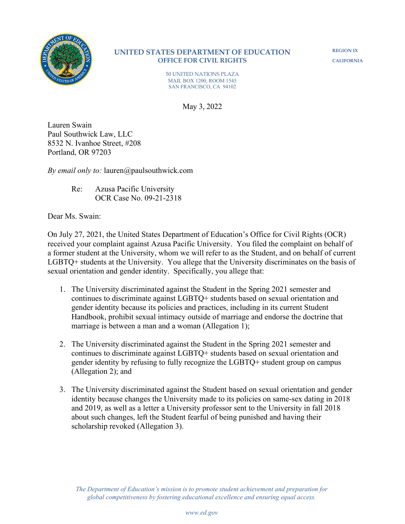

**REGION IX CALIFORNIA**

50 UNITED NATIONS PLAZA MAIL BOX 1200, ROOM 1545 SAN FRANCISCO, CA 94102

May 3, 2022

Lauren Swain Paul Southwick Law, LLC 8532 N. Ivanhoe Street, #208 Portland, OR 97203

*By email only to:* lauren@paulsouthwick.com

Re: Azusa Pacific University OCR Case No. 09-21-2318

Dear Ms. Swain:

On July 27, 2021, the United States Department of Education's Office for Civil Rights (OCR) received your complaint against Azusa Pacific University. You filed the complaint on behalf of a former student at the University, whom we will refer to as the Student, and on behalf of current LGBTQ+ students at the University. You allege that the University discriminates on the basis of sexual orientation and gender identity. Specifically, you allege that:

- 1. The University discriminated against the Student in the Spring 2021 semester and continues to discriminate against LGBTQ+ students based on sexual orientation and gender identity because its policies and practices, including in its current Student Handbook, prohibit sexual intimacy outside of marriage and endorse the doctrine that marriage is between a man and a woman (Allegation 1);
- 2. The University discriminated against the Student in the Spring 2021 semester and continues to discriminate against LGBTQ+ students based on sexual orientation and gender identity by refusing to fully recognize the LGBTQ+ student group on campus (Allegation 2); and
- 3. The University discriminated against the Student based on sexual orientation and gender identity because changes the University made to its policies on same-sex dating in 2018 and 2019, as well as a letter a University professor sent to the University in fall 2018 about such changes, left the Student fearful of being punished and having their scholarship revoked (Allegation 3).

*The Department of Education's mission is to promote student achievement and preparation for global competitiveness by fostering educational excellence and ensuring equal access.*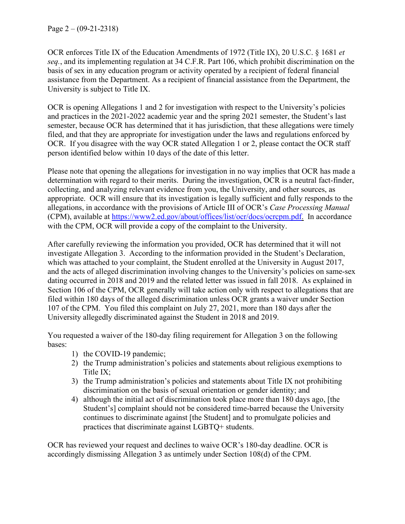OCR enforces Title IX of the Education Amendments of 1972 (Title IX), 20 U.S.C. § 1681 *et seq.*, and its implementing regulation at 34 C.F.R. Part 106, which prohibit discrimination on the basis of sex in any education program or activity operated by a recipient of federal financial assistance from the Department. As a recipient of financial assistance from the Department, the University is subject to Title IX.

OCR is opening Allegations 1 and 2 for investigation with respect to the University's policies and practices in the 2021-2022 academic year and the spring 2021 semester, the Student's last semester, because OCR has determined that it has jurisdiction, that these allegations were timely filed, and that they are appropriate for investigation under the laws and regulations enforced by OCR. If you disagree with the way OCR stated Allegation 1 or 2, please contact the OCR staff person identified below within 10 days of the date of this letter.

Please note that opening the allegations for investigation in no way implies that OCR has made a determination with regard to their merits. During the investigation, OCR is a neutral fact-finder, collecting, and analyzing relevant evidence from you, the University, and other sources, as appropriate. OCR will ensure that its investigation is legally sufficient and fully responds to the allegations, in accordance with the provisions of Article III of OCR's *Case Processing Manual* (CPM), available at [https://www2.ed.gov/about/offices/list/ocr/docs/ocrcpm.pdf.](https://www2.ed.gov/about/offices/list/ocr/docs/ocrcpm.pdf) In accordance with the CPM, OCR will provide a copy of the complaint to the University.

After carefully reviewing the information you provided, OCR has determined that it will not investigate Allegation 3. According to the information provided in the Student's Declaration, which was attached to your complaint, the Student enrolled at the University in August 2017, and the acts of alleged discrimination involving changes to the University's policies on same-sex dating occurred in 2018 and 2019 and the related letter was issued in fall 2018. As explained in Section 106 of the CPM, OCR generally will take action only with respect to allegations that are filed within 180 days of the alleged discrimination unless OCR grants a waiver under Section 107 of the CPM. You filed this complaint on July 27, 2021, more than 180 days after the University allegedly discriminated against the Student in 2018 and 2019.

You requested a waiver of the 180-day filing requirement for Allegation 3 on the following bases:

- 1) the COVID-19 pandemic;
- 2) the Trump administration's policies and statements about religious exemptions to Title IX;
- 3) the Trump administration's policies and statements about Title IX not prohibiting discrimination on the basis of sexual orientation or gender identity; and
- 4) although the initial act of discrimination took place more than 180 days ago, [the Student's] complaint should not be considered time-barred because the University continues to discriminate against [the Student] and to promulgate policies and practices that discriminate against LGBTQ+ students.

OCR has reviewed your request and declines to waive OCR's 180-day deadline. OCR is accordingly dismissing Allegation 3 as untimely under Section 108(d) of the CPM.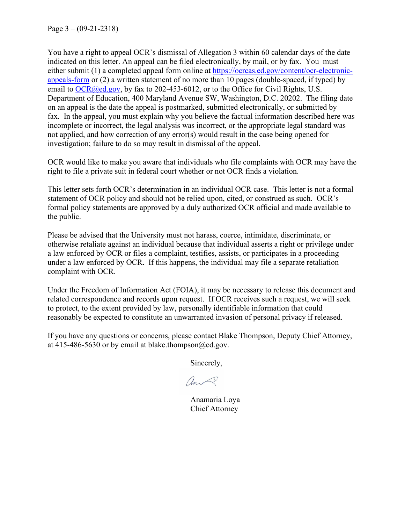Page  $3 - (09-21-2318)$ 

You have a right to appeal OCR's dismissal of Allegation 3 within 60 calendar days of the date indicated on this letter. An appeal can be filed electronically, by mail, or by fax. You must either submit (1) a completed appeal form online at [https://ocrcas.ed.gov/content/ocr-electronic](https://ocrcas.ed.gov/content/ocr-electronic-appeals-form)[appeals-form](https://ocrcas.ed.gov/content/ocr-electronic-appeals-form) or (2) a written statement of no more than 10 pages (double-spaced, if typed) by email to  $OCR$  ( $Q$ )  $Q$   $Q$ , by fax to 202-453-6012, or to the Office for Civil Rights, U.S. Department of Education, 400 Maryland Avenue SW, Washington, D.C. 20202. The filing date on an appeal is the date the appeal is postmarked, submitted electronically, or submitted by fax. In the appeal, you must explain why you believe the factual information described here was incomplete or incorrect, the legal analysis was incorrect, or the appropriate legal standard was not applied, and how correction of any error(s) would result in the case being opened for investigation; failure to do so may result in dismissal of the appeal.

OCR would like to make you aware that individuals who file complaints with OCR may have the right to file a private suit in federal court whether or not OCR finds a violation.

This letter sets forth OCR's determination in an individual OCR case. This letter is not a formal statement of OCR policy and should not be relied upon, cited, or construed as such. OCR's formal policy statements are approved by a duly authorized OCR official and made available to the public.

Please be advised that the University must not harass, coerce, intimidate, discriminate, or otherwise retaliate against an individual because that individual asserts a right or privilege under a law enforced by OCR or files a complaint, testifies, assists, or participates in a proceeding under a law enforced by OCR. If this happens, the individual may file a separate retaliation complaint with OCR.

Under the Freedom of Information Act (FOIA), it may be necessary to release this document and related correspondence and records upon request. If OCR receives such a request, we will seek to protect, to the extent provided by law, personally identifiable information that could reasonably be expected to constitute an unwarranted invasion of personal privacy if released.

If you have any questions or concerns, please contact Blake Thompson, Deputy Chief Attorney, at 415-486-5630 or by email at blake.thompson@ed.gov.

Sincerely,

ando

Anamaria Loya Chief Attorney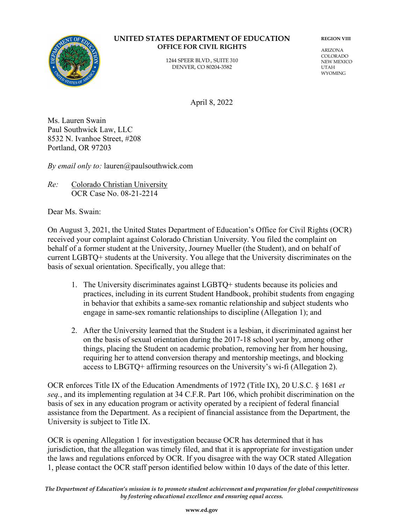

1244 SPEER BLVD., SUITE 310 DENVER, CO 80204-3582

**REGION VIII**

ARIZONA COLORADO NEW MEXICO UTAH WYOMING

April 8, 2022

Ms. Lauren Swain Paul Southwick Law, LLC 8532 N. Ivanhoe Street, #208 Portland, OR 97203

*By email only to:* lauren@paulsouthwick.com

*Re:* Colorado Christian University OCR Case No. 08-21-2214

Dear Ms. Swain:

On August 3, 2021, the United States Department of Education's Office for Civil Rights (OCR) received your complaint against Colorado Christian University. You filed the complaint on behalf of a former student at the University, Journey Mueller (the Student), and on behalf of current LGBTQ+ students at the University. You allege that the University discriminates on the basis of sexual orientation. Specifically, you allege that:

- 1. The University discriminates against LGBTQ+ students because its policies and practices, including in its current Student Handbook, prohibit students from engaging in behavior that exhibits a same-sex romantic relationship and subject students who engage in same-sex romantic relationships to discipline (Allegation 1); and
- 2. After the University learned that the Student is a lesbian, it discriminated against her on the basis of sexual orientation during the 2017-18 school year by, among other things, placing the Student on academic probation, removing her from her housing, requiring her to attend conversion therapy and mentorship meetings, and blocking access to LBGTQ+ affirming resources on the University's wi-fi (Allegation 2).

OCR enforces Title IX of the Education Amendments of 1972 (Title IX), 20 U.S.C. § 1681 *et seq.*, and its implementing regulation at 34 C.F.R. Part 106, which prohibit discrimination on the basis of sex in any education program or activity operated by a recipient of federal financial assistance from the Department. As a recipient of financial assistance from the Department, the University is subject to Title IX.

OCR is opening Allegation 1 for investigation because OCR has determined that it has jurisdiction, that the allegation was timely filed, and that it is appropriate for investigation under the laws and regulations enforced by OCR. If you disagree with the way OCR stated Allegation 1, please contact the OCR staff person identified below within 10 days of the date of this letter.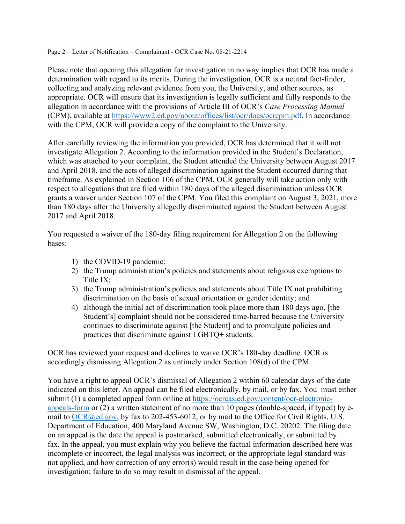Page 2 – Letter of Notification – Complainant - OCR Case No. 08-21-2214

Please note that opening this allegation for investigation in no way implies that OCR has made a determination with regard to its merits. During the investigation, OCR is a neutral fact-finder, collecting and analyzing relevant evidence from you, the University, and other sources, as appropriate. OCR will ensure that its investigation is legally sufficient and fully responds to the allegation in accordance with the provisions of Article III of OCR's *Case Processing Manual*  (CPM), available at [https://www2.ed.gov/about/offices/list/ocr/docs/ocrcpm.pdf.](https://www2.ed.gov/about/offices/list/ocr/docs/ocrcpm.pdf) In accordance with the CPM, OCR will provide a copy of the complaint to the University.

After carefully reviewing the information you provided, OCR has determined that it will not investigate Allegation 2. According to the information provided in the Student's Declaration, which was attached to your complaint, the Student attended the University between August 2017 and April 2018, and the acts of alleged discrimination against the Student occurred during that timeframe. As explained in Section 106 of the CPM, OCR generally will take action only with respect to allegations that are filed within 180 days of the alleged discrimination unless OCR grants a waiver under Section 107 of the CPM. You filed this complaint on August 3, 2021, more than 180 days after the University allegedly discriminated against the Student between August 2017 and April 2018.

You requested a waiver of the 180-day filing requirement for Allegation 2 on the following bases:

- 1) the COVID-19 pandemic;
- 2) the Trump administration's policies and statements about religious exemptions to Title IX;
- 3) the Trump administration's policies and statements about Title IX not prohibiting discrimination on the basis of sexual orientation or gender identity; and
- 4) although the initial act of discrimination took place more than 180 days ago, [the Student's] complaint should not be considered time-barred because the University continues to discriminate against [the Student] and to promulgate policies and practices that discriminate against LGBTQ+ students.

OCR has reviewed your request and declines to waive OCR's 180-day deadline. OCR is accordingly dismissing Allegation 2 as untimely under Section 108(d) of the CPM.

You have a right to appeal OCR's dismissal of Allegation 2 within 60 calendar days of the date indicated on this letter. An appeal can be filed electronically, by mail, or by fax. You must either submit (1) a completed appeal form online at [https://ocrcas.ed.gov/content/ocr-electronic](https://ocrcas.ed.gov/content/ocr-electronic-appeals-form)[appeals-form](https://ocrcas.ed.gov/content/ocr-electronic-appeals-form) or (2) a written statement of no more than 10 pages (double-spaced, if typed) by e-mail to [OCR@ed.gov,](mailto:OCR@ed.gov) by fax to 202-453-6012, or by mail to the Office for Civil Rights, U.S. Department of Education, 400 Maryland Avenue SW, Washington, D.C. 20202. The filing date on an appeal is the date the appeal is postmarked, submitted electronically, or submitted by fax. In the appeal, you must explain why you believe the factual information described here was incomplete or incorrect, the legal analysis was incorrect, or the appropriate legal standard was not applied, and how correction of any error(s) would result in the case being opened for investigation; failure to do so may result in dismissal of the appeal.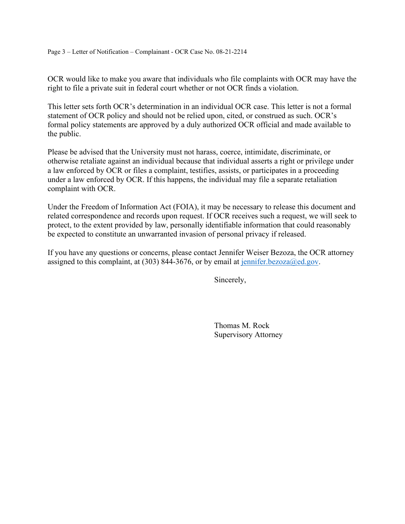Page 3 – Letter of Notification – Complainant - OCR Case No. 08-21-2214

OCR would like to make you aware that individuals who file complaints with OCR may have the right to file a private suit in federal court whether or not OCR finds a violation.

This letter sets forth OCR's determination in an individual OCR case. This letter is not a formal statement of OCR policy and should not be relied upon, cited, or construed as such. OCR's formal policy statements are approved by a duly authorized OCR official and made available to the public.

Please be advised that the University must not harass, coerce, intimidate, discriminate, or otherwise retaliate against an individual because that individual asserts a right or privilege under a law enforced by OCR or files a complaint, testifies, assists, or participates in a proceeding under a law enforced by OCR. If this happens, the individual may file a separate retaliation complaint with OCR.

Under the Freedom of Information Act (FOIA), it may be necessary to release this document and related correspondence and records upon request. If OCR receives such a request, we will seek to protect, to the extent provided by law, personally identifiable information that could reasonably be expected to constitute an unwarranted invasion of personal privacy if released.

If you have any questions or concerns, please contact Jennifer Weiser Bezoza, the OCR attorney assigned to this complaint, at  $(303)$  844-3676, or by email at [jennifer.bezoza@ed.gov.](mailto:jennifer.bezoza@ed.gov)

Sincerely,

Thomas M. Rock Supervisory Attorney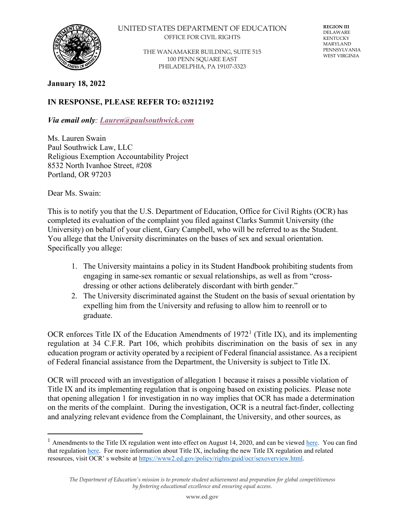

THE WANAMAKER BUILDING, SUITE 515 100 PENN SQUARE EAST PHILADELPHIA, PA 19107-3323

**REGION III** DELAWARE KENTUCKY MARYLAND PENNSYLVANIA WEST VIRGINIA

## **January 18, 2022**

# **IN RESPONSE, PLEASE REFER TO: 03212192**

*Via email only: [Lauren@paulsouthwick.com](mailto:Lauren@paulsouthwick.com)*

Ms. Lauren Swain Paul Southwick Law, LLC Religious Exemption Accountability Project 8532 North Ivanhoe Street, #208 Portland, OR 97203

Dear Ms. Swain:

This is to notify you that the U.S. Department of Education, Office for Civil Rights (OCR) has completed its evaluation of the complaint you filed against Clarks Summit University (the University) on behalf of your client, Gary Campbell, who will be referred to as the Student. You allege that the University discriminates on the bases of sex and sexual orientation. Specifically you allege:

- 1. The University maintains a policy in its Student Handbook prohibiting students from engaging in same-sex romantic or sexual relationships, as well as from "crossdressing or other actions deliberately discordant with birth gender."
- 2. The University discriminated against the Student on the basis of sexual orientation by expelling him from the University and refusing to allow him to reenroll or to graduate.

OCR enforces Title IX of the Education Amendments of  $1972<sup>1</sup>$  $1972<sup>1</sup>$  (Title IX), and its implementing regulation at 34 C.F.R. Part 106, which prohibits discrimination on the basis of sex in any education program or activity operated by a recipient of Federal financial assistance. As a recipient of Federal financial assistance from the Department, the University is subject to Title IX.

OCR will proceed with an investigation of allegation 1 because it raises a possible violation of Title IX and its implementing regulation that is ongoing based on existing policies. Please note that opening allegation 1 for investigation in no way implies that OCR has made a determination on the merits of the complaint. During the investigation, OCR is a neutral fact-finder, collecting and analyzing relevant evidence from the Complainant, the University, and other sources, as

<span id="page-12-0"></span><sup>&</sup>lt;sup>1</sup> Amendments to the Title IX regulation went into effect on August 14, 2020, and can be viewed [here.](https://www.federalregister.gov/documents/2020/05/19/2020-10512/nondiscrimination-on-the-basis-of-sex-in-education-programs-or-activities-receiving-federal) You can find that regulatio[n here.](https://www2.ed.gov/policy/rights/reg/ocr/edlite-34cfr106.html) For more information about Title IX, including the new Title IX regulation and related resources, visit OCR' s website at [https://www2.ed.gov/policy/rights/guid/ocr/sexoverview.html.](https://www2.ed.gov/policy/rights/guid/ocr/sexoverview.html)

*The Department of Education's mission is to promote student achievement and preparation for global competitiveness by fostering educational excellence and ensuring equal access.*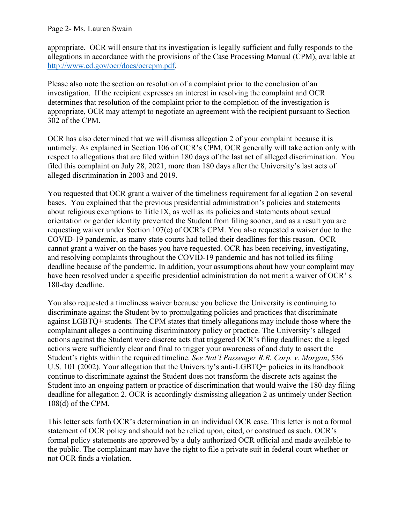## Page 2- Ms. Lauren Swain

appropriate. OCR will ensure that its investigation is legally sufficient and fully responds to the allegations in accordance with the provisions of the Case Processing Manual (CPM), available at [http://www.ed.gov/ocr/docs/ocrcpm.pdf.](http://www.ed.gov/ocr/docs/ocrcpm.pdf)

Please also note the section on resolution of a complaint prior to the conclusion of an investigation. If the recipient expresses an interest in resolving the complaint and OCR determines that resolution of the complaint prior to the completion of the investigation is appropriate, OCR may attempt to negotiate an agreement with the recipient pursuant to Section 302 of the CPM.

OCR has also determined that we will dismiss allegation 2 of your complaint because it is untimely. As explained in Section 106 of OCR's CPM, OCR generally will take action only with respect to allegations that are filed within 180 days of the last act of alleged discrimination. You filed this complaint on July 28, 2021, more than 180 days after the University's last acts of alleged discrimination in 2003 and 2019.

You requested that OCR grant a waiver of the timeliness requirement for allegation 2 on several bases. You explained that the previous presidential administration's policies and statements about religious exemptions to Title IX, as well as its policies and statements about sexual orientation or gender identity prevented the Student from filing sooner, and as a result you are requesting waiver under Section 107(e) of OCR's CPM. You also requested a waiver due to the COVID-19 pandemic, as many state courts had tolled their deadlines for this reason. OCR cannot grant a waiver on the bases you have requested. OCR has been receiving, investigating, and resolving complaints throughout the COVID-19 pandemic and has not tolled its filing deadline because of the pandemic. In addition, your assumptions about how your complaint may have been resolved under a specific presidential administration do not merit a waiver of OCR' s 180-day deadline.

You also requested a timeliness waiver because you believe the University is continuing to discriminate against the Student by to promulgating policies and practices that discriminate against LGBTQ+ students. The CPM states that timely allegations may include those where the complainant alleges a continuing discriminatory policy or practice. The University's alleged actions against the Student were discrete acts that triggered OCR's filing deadlines; the alleged actions were sufficiently clear and final to trigger your awareness of and duty to assert the Student's rights within the required timeline. *See Nat'l Passenger R.R. Corp. v. Morgan*, 536 U.S. 101 (2002). Your allegation that the University's anti-LGBTQ+ policies in its handbook continue to discriminate against the Student does not transform the discrete acts against the Student into an ongoing pattern or practice of discrimination that would waive the 180-day filing deadline for allegation 2. OCR is accordingly dismissing allegation 2 as untimely under Section 108(d) of the CPM.

This letter sets forth OCR's determination in an individual OCR case. This letter is not a formal statement of OCR policy and should not be relied upon, cited, or construed as such. OCR's formal policy statements are approved by a duly authorized OCR official and made available to the public. The complainant may have the right to file a private suit in federal court whether or not OCR finds a violation.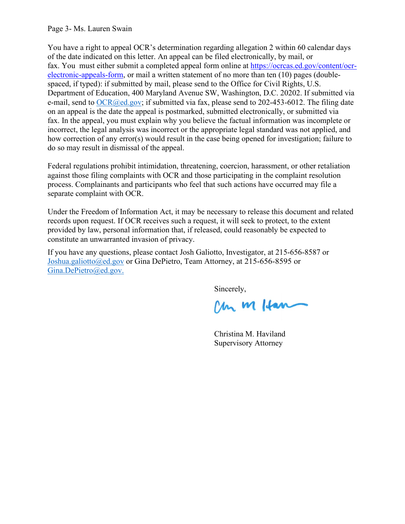### Page 3- Ms. Lauren Swain

You have a right to appeal OCR's determination regarding allegation 2 within 60 calendar days of the date indicated on this letter. An appeal can be filed electronically, by mail, or fax. You must either submit a completed appeal form online at [https://ocrcas.ed.gov/content/ocr](https://ocrcas.ed.gov/content/ocr-electronic-appeals-form)[electronic-appeals-form,](https://ocrcas.ed.gov/content/ocr-electronic-appeals-form) or mail a written statement of no more than ten (10) pages (doublespaced, if typed): if submitted by mail, please send to the Office for Civil Rights, U.S. Department of Education, 400 Maryland Avenue SW, Washington, D.C. 20202. If submitted via e-mail, send to  $OCR(\partial_{\theta}ed.gov)$ ; if submitted via fax, please send to 202-453-6012. The filing date on an appeal is the date the appeal is postmarked, submitted electronically, or submitted via fax. In the appeal, you must explain why you believe the factual information was incomplete or incorrect, the legal analysis was incorrect or the appropriate legal standard was not applied, and how correction of any error(s) would result in the case being opened for investigation; failure to do so may result in dismissal of the appeal.

Federal regulations prohibit intimidation, threatening, coercion, harassment, or other retaliation against those filing complaints with OCR and those participating in the complaint resolution process. Complainants and participants who feel that such actions have occurred may file a separate complaint with OCR.

Under the Freedom of Information Act, it may be necessary to release this document and related records upon request. If OCR receives such a request, it will seek to protect, to the extent provided by law, personal information that, if released, could reasonably be expected to constitute an unwarranted invasion of privacy.

If you have any questions, please contact Josh Galiotto, Investigator, at 215-656-8587 or [Joshua.galiotto@ed.gov](mailto:Joshua.galiotto@ed.gov) or Gina DePietro, Team Attorney, at 215-656-8595 or [Gina.DePietro@ed.gov.](mailto:Gina.DePietro@ed.gov.)

Sincerely,<br>Clan M Ham

Christina M. Haviland Supervisory Attorney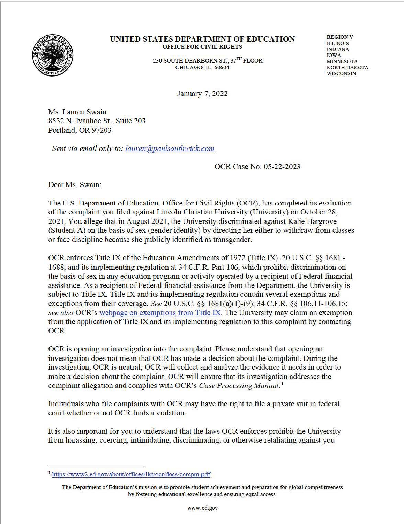

230 SOUTH DEARBORN ST., 37TH FLOOR CHICAGO, IL 60604

**REGION V** ILLINOIS INDIANA IOWA MINNESOTA NORTH DAKOTA WISCONSIN

January 7, 2022

Ms. Lauren Swain 8532 N. Ivanhoe St., Suite 203 Portland, OR 97203

*Sent via email only to: lauren@paulsouthwick.com* 

OCR Case No. 05-22-2023

Dear Ms. Swain:

The U.S. Department of Education, Office for Civil Rights (OCR), has completed its evaluation of the complaint you filed against Lincoln Christian University (University) on October 28, 2021. You allege that in August 2021, the University discriminated against Kalie Hargrove (Smdent A) on the basis of sex (gender identity) by directing her either to withdraw from classes or face discipline because she publicly identified as transgender.

OCR enforces Title IX of the Education Amendments of 1972 (Title IX), 20 U.S.C. *§§* 1681 - 1688, and its implementing regulation at 34 C.F.R. Part 106, which prohibit discrimination on the basis of sex in any education program or activity operated by a recipient of Federal financial assistance. As a recipient of Federal financial assistance from the Depmtment, the University is subject to Title IX. Title IX and its implementing regulation contain several exemptions and exceptions from their coverage. *See* 20 U.S.C. §§ 168l(a)(l)-(9); 34 C.F.R. §§ 106.11-106.15; *see also* OCR's webpage on exemptions from Title IX. The University may claim an exemption from the application of Title IX and its implementing regulation to this complaint by contacting OCR.

OCR is opening an investigation into the complaint. Please understand that opening an investigation does not mean that OCR has made a decision about the complaint. Dming the investigation, OCR is neutral; OCR will collect and analyze the evidence it needs in order to make a decision about the complaint. OCR will ensure that its investigation addresses the complaint allegation and complies with OCR's *Case Processing Manual*.<sup>1</sup>

Individuals who file complaints with OCR may have the right to file a private suit in federal comt whether or not OCR finds a violation.

It is also important for you to understand that the laws OCR enforces prohibit the University from harassing, coercing, intimidating, discriminating, or otherwise retaliating against you

<sup>&</sup>lt;sup>1</sup> https://www2.ed.gov/about/offices/list/ocr/docs/ocrcpm.pdf

The Department of Education's mission is to promote student achievement and preparation for global competitiveness by fostering educational excellence and ensuring equal access.